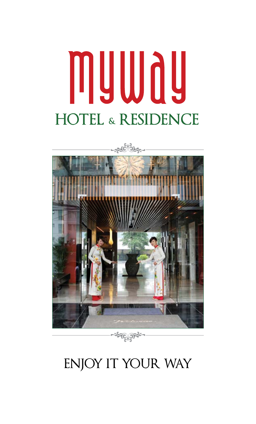# muwau **HOTEL & RESIDENCE**



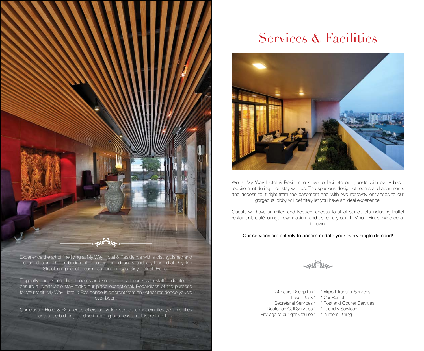

Experience the art of fine living at My Way Hotel & Residence with a distinguished and elegant design. The embodiment of sophisticated luxury is ideally located at Duy Tan Street in a peaceful business zone of Cau Giay district, Hanoi.

Elegantly understated hotel rooms and serviced apartments with staff dedicated to ensure a remarkable stay make our place exceptional. Regardless of the purpose for your visit, My Way Hotel & Residence is different from any other residence you've ever been.

Our classic Hotel & Residence offers unrivalled services, modern lifestyle amenities and superb dining for discriminating business and leisure travelers.

# Services & Facilities



We at My Way Hotel & Residence strive to facilitate our quests with every basic requirement during their stay with us. The spacious design of rooms and apartments and access to it right from the basement and with two roadway entrances to our gorgeous lobby will definitely let you have an ideal experience.

Guests will have unlimited and frequent access to all of our outlets including Buffet restaurant, Café lounge, Gymnasium and especially our IL Vino - Finest wine cellar in town.

#### Our services are entirely to accommodate your every single demand!

24 hours Reception \* \* Airport Transfer Services Travel Desk \* \* Car Rental Secretarial Services \* \* Post and Courier Services Doctor on Call Services \* \* Laundry Services Privilege to our golf Course \* \* In-room Dining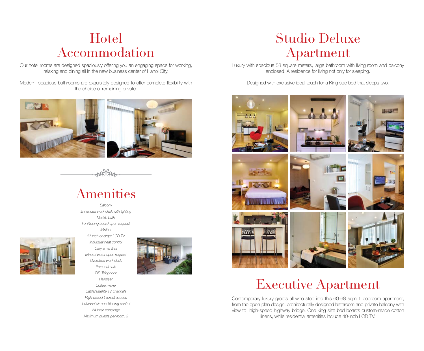### Hotel Accommodation

Our hotel rooms are designed spaciously offering you an engaging space for working, relaxing and dining all in the new business center of Hanoi City.

Modern, spacious bathrooms are exquisitely designed to offer complete flexibility with the choice of remaining private.





# Amenities



*Balcony Enhanced work desk with lighting Marble bath Iron/ironing board upon request Minibar 37 inch or larger LCD TV Individual heat control Daily amenities Mineral water upon request Oversized work desk Personal safe IDD Telephone Hairdryer Coffee maker Cable/satellite TV channels High-speed Internet access Individual air conditioning control 24-hour concierge*

*Maximum guests per room: 2*



# Studio Deluxe Apartment

Luxury with spacious 58 square meters, large bathroom with living room and balcony enclosed. A residence for living not only for sleeping.

Designed with exclusive ideal touch for a King size bed that sleeps two.



# Executive Apartment

Contemporary luxury greets all who step into this 60-68 sqm 1 bedroom apartment, from the open plan design, architecturally designed bathroom and private balcony with view to high-speed highway bridge. One king size bed boasts custom-made cotton linens, while residential amenities include 40-inch LCD TV.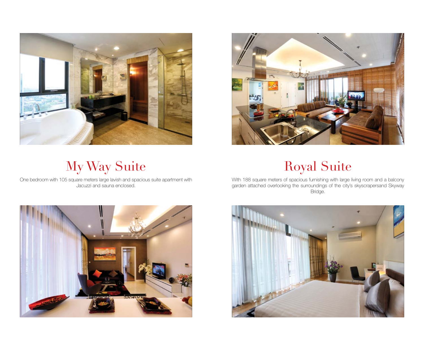



# My Way Suite Royal Suite

One bedroom with 105 square meters large lavish and spacious suite apartment with Jacuzzi and sauna enclosed.

With 188 square meters of spacious furnishing with large living room and a balcony garden attached overlooking the surroundings of the city's skyscrapersand Skyway Bridge.



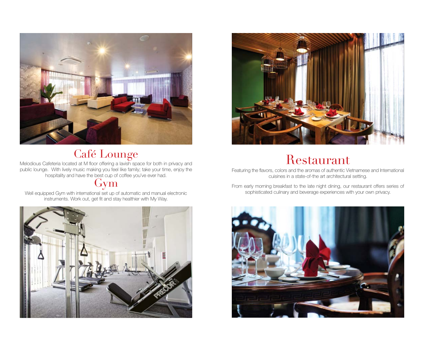

Melodious Cafeteria located at M floor offering a lavish space for both in privacy and public lounge. With lively music making you feel like family; take your time, enjoy the hospitality and have the best cup of coffee you've ever had.

#### Gym

Well equipped Gym with international set up of automatic and manual electronic instruments. Work out, get fit and stay healthier with My Way.





# $\mathop{\rm Cafe}\limits_{\rm bd\ at\ M\ floor\ offering\ a\ lawish\ space\ for\ both\ in\ privacy\ and} } \mathop{\rm Resa}$

Featuring the flavors, colors and the aromas of authentic Vietnamese and International cuisines in a state-of-the art architectural setting.

From early morning breakfast to the late night dining, our restaurant offers series of sophisticated culinary and beverage experiences with your own privacy.

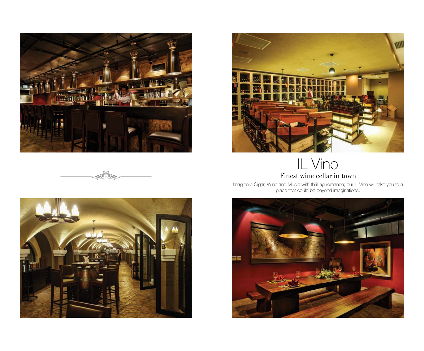

**ANOTORY** 



### IL Vino Finest wine cellar in town

Imagine a Cigar, Wine and Music with thrilling romance; our IL Vino will take you to a place that could be beyond imaginations.